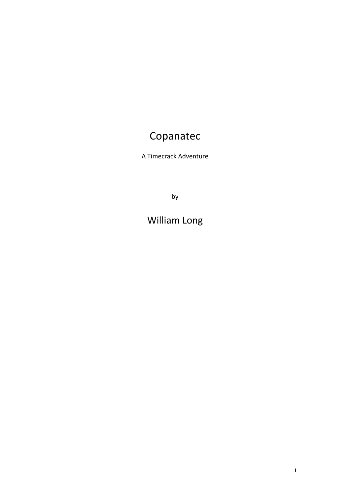# Copanatec

A Timecrack Adventure

by

William Long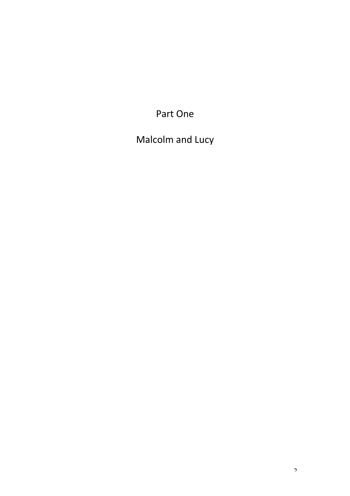Part One

Malcolm and Lucy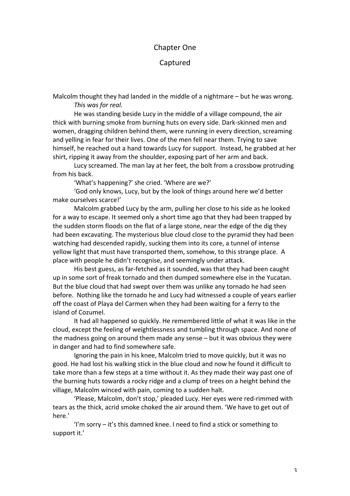#### Chapter One

### Captured

Malcolm thought they had landed in the middle of a nightmare  $-$  but he was wrong. This was for real.

He was standing beside Lucy in the middle of a village compound, the air thick with burning smoke from burning huts on every side. Dark-skinned men and women, dragging children behind them, were running in every direction, screaming and velling in fear for their lives. One of the men fell near them. Trying to save himself, he reached out a hand towards Lucy for support. Instead, he grabbed at her shirt, ripping it away from the shoulder, exposing part of her arm and back.

Lucy screamed. The man lay at her feet, the bolt from a crossbow protruding from his hack

'What's happening?' she cried. 'Where are we?'

'God only knows, Lucy, but by the look of things around here we'd better make ourselves scarce!'

Malcolm grabbed Lucy by the arm, pulling her close to his side as he looked for a way to escape. It seemed only a short time ago that they had been trapped by the sudden storm floods on the flat of a large stone, near the edge of the dig they had been excavating. The mysterious blue cloud close to the pyramid they had been watching had descended rapidly, sucking them into its core, a tunnel of intense yellow light that must have transported them, somehow, to this strange place. A place with people he didn't recognise, and seemingly under attack.

His best guess, as far-fetched as it sounded, was that they had been caught up in some sort of freak tornado and then dumped somewhere else in the Yucatan. But the blue cloud that had swept over them was unlike any tornado he had seen before. Nothing like the tornado he and Lucy had witnessed a couple of years earlier off the coast of Playa del Carmen when they had been waiting for a ferry to the island of Cozumel.

It had all happened so quickly. He remembered little of what it was like in the cloud, except the feeling of weightlessness and tumbling through space. And none of the madness going on around them made any sense  $-$  but it was obvious they were in danger and had to find somewhere safe.

Ignoring the pain in his knee, Malcolm tried to move quickly, but it was no good. He had lost his walking stick in the blue cloud and now he found it difficult to take more than a few steps at a time without it. As they made their way past one of the burning huts towards a rocky ridge and a clump of trees on a height behind the village, Malcolm winced with pain, coming to a sudden halt.

'Please, Malcolm, don't stop,' pleaded Lucy. Her eyes were red-rimmed with tears as the thick, acrid smoke choked the air around them. 'We have to get out of here.'

'I'm sorry  $-$  it's this damned knee. I need to find a stick or something to support it.'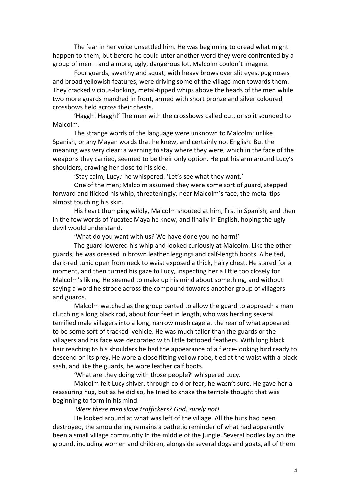The fear in her voice unsettled him. He was beginning to dread what might happen to them, but before he could utter another word they were confronted by a group of men - and a more, ugly, dangerous lot, Malcolm couldn't imagine.

Four guards, swarthy and squat, with heavy brows over slit eyes, pug noses and broad yellowish features, were driving some of the village men towards them. They cracked vicious-looking, metal-tipped whips above the heads of the men while two more guards marched in front, armed with short bronze and silver coloured crossbows held across their chests.

'Haggh! Haggh!' The men with the crossbows called out, or so it sounded to Malcolm.

The strange words of the language were unknown to Malcolm; unlike Spanish, or any Mayan words that he knew, and certainly not English. But the meaning was very clear: a warning to stay where they were, which in the face of the weapons they carried, seemed to be their only option. He put his arm around Lucy's shoulders, drawing her close to his side.

'Stay calm, Lucy,' he whispered. 'Let's see what they want.'

One of the men; Malcolm assumed they were some sort of guard, stepped forward and flicked his whip, threateningly, near Malcolm's face, the metal tips almost touching his skin.

His heart thumping wildly, Malcolm shouted at him, first in Spanish, and then in the few words of Yucatec Maya he knew, and finally in English, hoping the ugly devil would understand.

'What do you want with us? We have done you no harm!'

The guard lowered his whip and looked curiously at Malcolm. Like the other guards, he was dressed in brown leather leggings and calf-length boots. A belted, dark-red tunic open from neck to waist exposed a thick, hairy chest. He stared for a moment, and then turned his gaze to Lucy, inspecting her a little too closely for Malcolm's liking. He seemed to make up his mind about something, and without saying a word he strode across the compound towards another group of villagers and guards.

Malcolm watched as the group parted to allow the guard to approach a man clutching a long black rod, about four feet in length, who was herding several terrified male villagers into a long, narrow mesh cage at the rear of what appeared to be some sort of tracked vehicle. He was much taller than the guards or the villagers and his face was decorated with little tattooed feathers. With long black hair reaching to his shoulders he had the appearance of a fierce-looking bird ready to descend on its prey. He wore a close fitting yellow robe, tied at the waist with a black sash, and like the guards, he wore leather calf boots.

'What are they doing with those people?' whispered Lucy.

Malcolm felt Lucy shiver, through cold or fear, he wasn't sure. He gave her a reassuring hug, but as he did so, he tried to shake the terrible thought that was beginning to form in his mind.

#### *Were these men slave traffickers? God, surely not!*

He looked around at what was left of the village. All the huts had been destroyed, the smouldering remains a pathetic reminder of what had apparently been a small village community in the middle of the jungle. Several bodies lay on the ground, including women and children, alongside several dogs and goats, all of them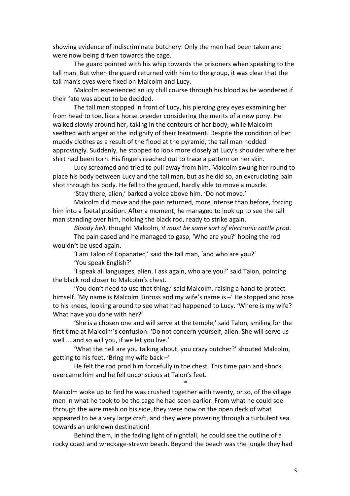showing evidence of indiscriminate butchery. Only the men had been taken and were now being driven towards the cage.

The guard pointed with his whip towards the prisoners when speaking to the tall man. But when the guard returned with him to the group, it was clear that the tall man's eves were fixed on Malcolm and Lucy.

Malcolm experienced an icy chill course through his blood as he wondered if their fate was about to be decided.

The tall man stopped in front of Lucy, his piercing grey eyes examining her from head to toe, like a horse breeder considering the merits of a new pony. He walked slowly around her, taking in the contours of her body, while Malcolm seethed with anger at the indignity of their treatment. Despite the condition of her muddy clothes as a result of the flood at the pyramid, the tall man nodded approvingly. Suddenly, he stopped to look more closely at Lucy's shoulder where her shirt had been torn. His fingers reached out to trace a pattern on her skin.

Lucy screamed and tried to pull away from him. Malcolm swung her round to place his body between Lucy and the tall man, but as he did so, an excruciating pain shot through his body. He fell to the ground, hardly able to move a muscle.

'Stay there, alien,' barked a voice above him. 'Do not move.'

Malcolm did move and the pain returned, more intense than before, forcing him into a foetal position. After a moment, he managed to look up to see the tall man standing over him, holding the black rod, ready to strike again.

*Bloody hell*, thought Malcolm, *it must be some sort of electronic cattle prod.* The pain eased and he managed to gasp, 'Who are you?' hoping the rod

wouldn't be used again.

'I am Talon of Copanatec,' said the tall man, 'and who are you?' 'You speak English?'

'I speak all languages, alien. I ask again, who are you?' said Talon, pointing the black rod closer to Malcolm's chest.

'You don't need to use that thing,' said Malcolm, raising a hand to protect himself. 'My name is Malcolm Kinross and my wife's name is -' He stopped and rose to his knees, looking around to see what had happened to Lucy. 'Where is my wife? What have you done with her?'

'She is a chosen one and will serve at the temple,' said Talon, smiling for the first time at Malcolm's confusion. 'Do not concern yourself, alien. She will serve us well ... and so will you, if we let you live.'

'What the hell are you talking about, you crazy butcher?' shouted Malcolm, getting to his feet. 'Bring my wife back  $-$ '

He felt the rod prod him forcefully in the chest. This time pain and shock overcame him and he fell unconscious at Talon's feet.

Malcolm woke up to find he was crushed together with twenty, or so, of the village men in what he took to be the cage he had seen earlier. From what he could see through the wire mesh on his side, they were now on the open deck of what appeared to be a very large craft, and they were powering through a turbulent sea towards an unknown destination!

\*

Behind them, in the fading light of nightfall, he could see the outline of a rocky coast and wreckage-strewn beach. Beyond the beach was the jungle they had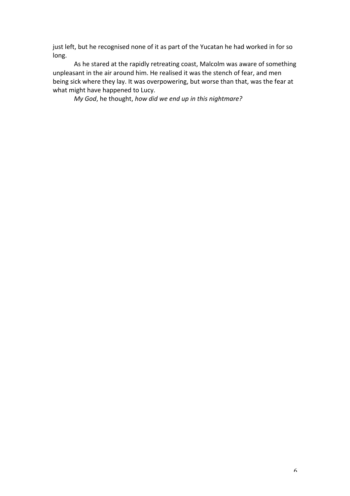just left, but he recognised none of it as part of the Yucatan he had worked in for so long.

As he stared at the rapidly retreating coast, Malcolm was aware of something unpleasant in the air around him. He realised it was the stench of fear, and men being sick where they lay. It was overpowering, but worse than that, was the fear at what might have happened to Lucy.

*My God,* he thought, *how did we end up in this nightmare?*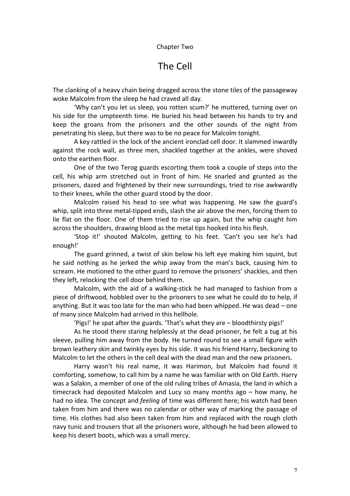Chapter Two

## The Cell

The clanking of a heavy chain being dragged across the stone tiles of the passageway woke Malcolm from the sleep he had craved all day.

'Why can't you let us sleep, you rotten scum?' he muttered, turning over on his side for the umpteenth time. He buried his head between his hands to try and keep the groans from the prisoners and the other sounds of the night from penetrating his sleep, but there was to be no peace for Malcolm tonight.

A key rattled in the lock of the ancient ironclad cell door. It slammed inwardly against the rock wall, as three men, shackled together at the ankles, were shoved onto the earthen floor.

One of the two Terog guards escorting them took a couple of steps into the cell, his whip arm stretched out in front of him. He snarled and grunted as the prisoners, dazed and frightened by their new surroundings, tried to rise awkwardly to their knees, while the other guard stood by the door.

Malcolm raised his head to see what was happening. He saw the guard's whip, split into three metal-tipped ends, slash the air above the men, forcing them to lie flat on the floor. One of them tried to rise up again, but the whip caught him across the shoulders, drawing blood as the metal tips hooked into his flesh.

'Stop it!' shouted Malcolm, getting to his feet. 'Can't you see he's had enough!'

The guard grinned, a twist of skin below his left eye making him squint, but he said nothing as he jerked the whip away from the man's back, causing him to scream. He motioned to the other guard to remove the prisoners' shackles, and then they left, relocking the cell door behind them.

Malcolm, with the aid of a walking-stick he had managed to fashion from a piece of driftwood, hobbled over to the prisoners to see what he could do to help, if anything. But it was too late for the man who had been whipped. He was dead  $-$  one of many since Malcolm had arrived in this hellhole.

'Pigs!' he spat after the guards. 'That's what they are – bloodthirsty pigs!'

As he stood there staring helplessly at the dead prisoner, he felt a tug at his sleeve, pulling him away from the body. He turned round to see a small figure with brown leathery skin and twinkly eyes by his side. It was his friend Harry, beckoning to Malcolm to let the others in the cell deal with the dead man and the new prisoners.

Harry wasn't his real name, it was Harimon, but Malcolm had found it comforting, somehow, to call him by a name he was familiar with on Old Earth. Harry was a Salakin, a member of one of the old ruling tribes of Amasia, the land in which a timecrack had deposited Malcolm and Lucy so many months ago – how many, he had no idea. The concept and *feeling* of time was different here; his watch had been taken from him and there was no calendar or other way of marking the passage of time. His clothes had also been taken from him and replaced with the rough cloth navy tunic and trousers that all the prisoners wore, although he had been allowed to keep his desert boots, which was a small mercy.